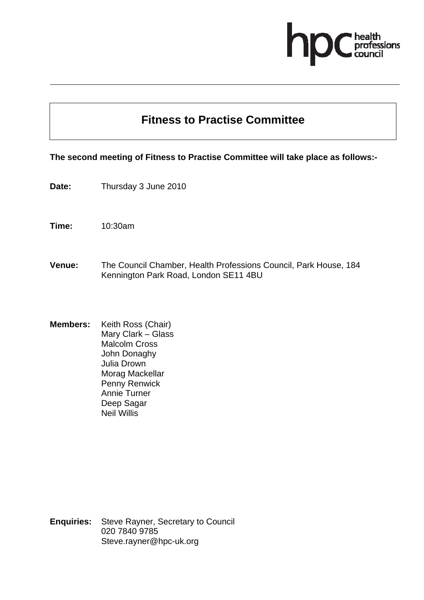

## **Fitness to Practise Committee**

## **The second meeting of Fitness to Practise Committee will take place as follows:-**

- **Date:** Thursday 3 June 2010
- **Time:** 10:30am
- **Venue:** The Council Chamber, Health Professions Council, Park House, 184 Kennington Park Road, London SE11 4BU
- **Members:** Keith Ross (Chair) Mary Clark – Glass Malcolm Cross John Donaghy Julia Drown Morag Mackellar Penny Renwick Annie Turner Deep Sagar Neil Willis

**Enquiries:** Steve Rayner, Secretary to Council 020 7840 9785 Steve.rayner@hpc-uk.org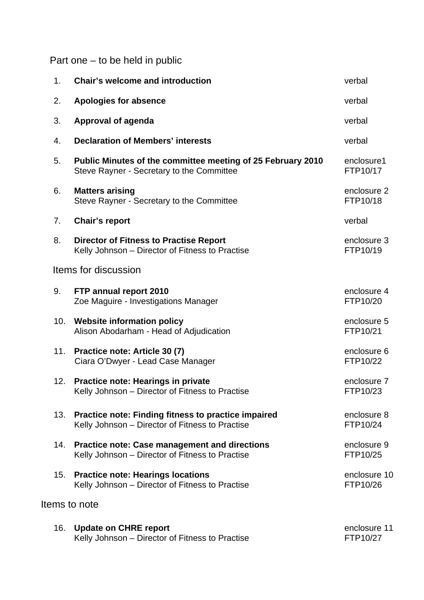Part one – to be held in public

| 1.  | <b>Chair's welcome and introduction</b>                                                                       | verbal                   |
|-----|---------------------------------------------------------------------------------------------------------------|--------------------------|
| 2.  | <b>Apologies for absence</b>                                                                                  | verbal                   |
| 3.  | <b>Approval of agenda</b>                                                                                     | verbal                   |
| 4.  | <b>Declaration of Members' interests</b>                                                                      | verbal                   |
| 5.  | Public Minutes of the committee meeting of 25 February 2010<br>Steve Rayner - Secretary to the Committee      | enclosure1<br>FTP10/17   |
| 6.  | <b>Matters arising</b><br>Steve Rayner - Secretary to the Committee                                           | enclosure 2<br>FTP10/18  |
| 7.  | <b>Chair's report</b>                                                                                         | verbal                   |
| 8.  | <b>Director of Fitness to Practise Report</b><br>Kelly Johnson - Director of Fitness to Practise              | enclosure 3<br>FTP10/19  |
|     | Items for discussion                                                                                          |                          |
| 9.  | FTP annual report 2010<br>Zoe Maguire - Investigations Manager                                                | enclosure 4<br>FTP10/20  |
|     | 10. Website information policy<br>Alison Abodarham - Head of Adjudication                                     | enclosure 5<br>FTP10/21  |
| 11. | Practice note: Article 30 (7)<br>Ciara O'Dwyer - Lead Case Manager                                            | enclosure 6<br>FTP10/22  |
| 12. | <b>Practice note: Hearings in private</b><br>Kelly Johnson - Director of Fitness to Practise                  | enclosure 7<br>FTP10/23  |
| 13. | <b>Practice note: Finding fitness to practice impaired</b><br>Kelly Johnson - Director of Fitness to Practise | enclosure 8<br>FTP10/24  |
|     | 14. Practice note: Case management and directions<br>Kelly Johnson - Director of Fitness to Practise          | enclosure 9<br>FTP10/25  |
| 15. | <b>Practice note: Hearings locations</b><br>Kelly Johnson - Director of Fitness to Practise                   | enclosure 10<br>FTP10/26 |
|     | Items to note                                                                                                 |                          |
| 16. | <b>Update on CHRE report</b>                                                                                  | enclosure 11             |

| $Sp$ and $S1$ . $S2$ . $Sp$ .                   |
|-------------------------------------------------|
| Kelly Johnson – Director of Fitness to Practise |

enclosure 11 FTP10/27